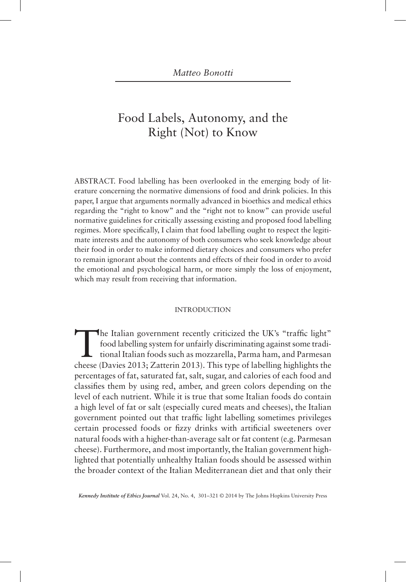# Food Labels, Autonomy, and the Right (Not) to Know

ABSTRACT. Food labelling has been overlooked in the emerging body of literature concerning the normative dimensions of food and drink policies. In this paper, I argue that arguments normally advanced in bioethics and medical ethics regarding the "right to know" and the "right not to know" can provide useful normative guidelines for critically assessing existing and proposed food labelling regimes. More specifically, I claim that food labelling ought to respect the legitimate interests and the autonomy of both consumers who seek knowledge about their food in order to make informed dietary choices and consumers who prefer to remain ignorant about the contents and effects of their food in order to avoid the emotional and psychological harm, or more simply the loss of enjoyment, which may result from receiving that information.

#### INTRODUCTION

The Italian government recently criticized the UK's "traffic light"<br>food labelling system for unfairly discriminating against some tradi-<br>tional Italian foods such as mozzarella, Parma ham, and Parmesan food labelling system for unfairly discriminating against some traditional Italian foods such as mozzarella, Parma ham, and Parmesan cheese (Davies 2013; Zatterin 2013). This type of labelling highlights the percentages of fat, saturated fat, salt, sugar, and calories of each food and classifies them by using red, amber, and green colors depending on the level of each nutrient. While it is true that some Italian foods do contain a high level of fat or salt (especially cured meats and cheeses), the Italian government pointed out that traffic light labelling sometimes privileges certain processed foods or fizzy drinks with artificial sweeteners over natural foods with a higher-than-average salt or fat content (e.g. Parmesan cheese). Furthermore, and most importantly, the Italian government highlighted that potentially unhealthy Italian foods should be assessed within the broader context of the Italian Mediterranean diet and that only their

*Kennedy Institute of Ethics Journal* Vol. 24, No. 4, 301–321 © 2014 by The Johns Hopkins University Press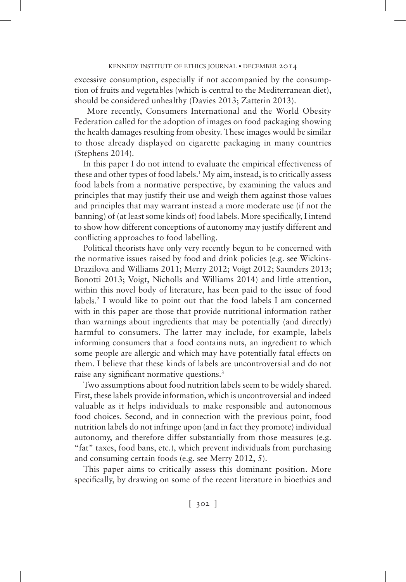excessive consumption, especially if not accompanied by the consumption of fruits and vegetables (which is central to the Mediterranean diet), should be considered unhealthy (Davies 2013; Zatterin 2013).

 More recently, Consumers International and the World Obesity Federation called for the adoption of images on food packaging showing the health damages resulting from obesity. These images would be similar to those already displayed on cigarette packaging in many countries (Stephens 2014).

In this paper I do not intend to evaluate the empirical effectiveness of these and other types of food labels.1 My aim, instead, is to critically assess food labels from a normative perspective, by examining the values and principles that may justify their use and weigh them against those values and principles that may warrant instead a more moderate use (if not the banning) of (at least some kinds of) food labels. More specifically, I intend to show how different conceptions of autonomy may justify different and conflicting approaches to food labelling.

Political theorists have only very recently begun to be concerned with the normative issues raised by food and drink policies (e.g. see Wickins-Drazilova and Williams 2011; Merry 2012; Voigt 2012; Saunders 2013; Bonotti 2013; Voigt, Nicholls and Williams 2014) and little attention, within this novel body of literature, has been paid to the issue of food labels.2 I would like to point out that the food labels I am concerned with in this paper are those that provide nutritional information rather than warnings about ingredients that may be potentially (and directly) harmful to consumers. The latter may include, for example, labels informing consumers that a food contains nuts, an ingredient to which some people are allergic and which may have potentially fatal effects on them. I believe that these kinds of labels are uncontroversial and do not raise any significant normative questions.3

Two assumptions about food nutrition labels seem to be widely shared. First, these labels provide information, which is uncontroversial and indeed valuable as it helps individuals to make responsible and autonomous food choices. Second, and in connection with the previous point, food nutrition labels do not infringe upon (and in fact they promote) individual autonomy, and therefore differ substantially from those measures (e.g. "fat" taxes, food bans, etc.), which prevent individuals from purchasing and consuming certain foods (e.g. see Merry 2012, 5).

This paper aims to critically assess this dominant position. More specifically, by drawing on some of the recent literature in bioethics and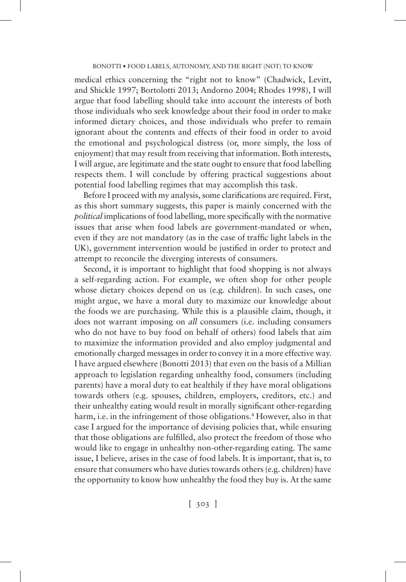medical ethics concerning the "right not to know" (Chadwick, Levitt, and Shickle 1997; Bortolotti 2013; Andorno 2004; Rhodes 1998), I will argue that food labelling should take into account the interests of both those individuals who seek knowledge about their food in order to make informed dietary choices, and those individuals who prefer to remain ignorant about the contents and effects of their food in order to avoid the emotional and psychological distress (or, more simply, the loss of enjoyment) that may result from receiving that information. Both interests, I will argue, are legitimate and the state ought to ensure that food labelling respects them. I will conclude by offering practical suggestions about potential food labelling regimes that may accomplish this task.

Before I proceed with my analysis, some clarifications are required. First, as this short summary suggests, this paper is mainly concerned with the *political* implications of food labelling, more specifically with the normative issues that arise when food labels are government-mandated or when, even if they are not mandatory (as in the case of traffic light labels in the UK), government intervention would be justified in order to protect and attempt to reconcile the diverging interests of consumers.

Second, it is important to highlight that food shopping is not always a self-regarding action. For example, we often shop for other people whose dietary choices depend on us (e.g. children). In such cases, one might argue, we have a moral duty to maximize our knowledge about the foods we are purchasing. While this is a plausible claim, though, it does not warrant imposing on *all* consumers (i.e. including consumers who do not have to buy food on behalf of others) food labels that aim to maximize the information provided and also employ judgmental and emotionally charged messages in order to convey it in a more effective way. I have argued elsewhere (Bonotti 2013) that even on the basis of a Millian approach to legislation regarding unhealthy food, consumers (including parents) have a moral duty to eat healthily if they have moral obligations towards others (e.g. spouses, children, employers, creditors, etc.) and their unhealthy eating would result in morally significant other-regarding harm, i.e. in the infringement of those obligations.<sup>4</sup> However, also in that case I argued for the importance of devising policies that, while ensuring that those obligations are fulfilled, also protect the freedom of those who would like to engage in unhealthy non-other-regarding eating. The same issue, I believe, arises in the case of food labels. It is important, that is, to ensure that consumers who have duties towards others (e.g. children) have the opportunity to know how unhealthy the food they buy is. At the same

[ 303 ]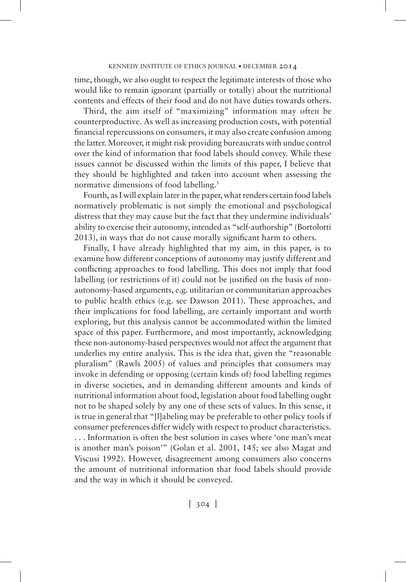time, though, we also ought to respect the legitimate interests of those who would like to remain ignorant (partially or totally) about the nutritional contents and effects of their food and do not have duties towards others.

Third, the aim itself of "maximizing" information may often be counterproductive. As well as increasing production costs, with potential financial repercussions on consumers, it may also create confusion among the latter. Moreover, it might risk providing bureaucrats with undue control over the kind of information that food labels should convey. While these issues cannot be discussed within the limits of this paper, I believe that they should be highlighted and taken into account when assessing the normative dimensions of food labelling.<sup>5</sup>

Fourth, as I will explain later in the paper, what renders certain food labels normatively problematic is not simply the emotional and psychological distress that they may cause but the fact that they undermine individuals' ability to exercise their autonomy, intended as "self-authorship" (Bortolotti 2013), in ways that do not cause morally significant harm to others.

Finally, I have already highlighted that my aim, in this paper, is to examine how different conceptions of autonomy may justify different and conflicting approaches to food labelling. This does not imply that food labelling (or restrictions of it) could not be justified on the basis of nonautonomy-based arguments, e.g. utilitarian or communitarian approaches to public health ethics (e.g. see Dawson 2011). These approaches, and their implications for food labelling, are certainly important and worth exploring, but this analysis cannot be accommodated within the limited space of this paper. Furthermore, and most importantly, acknowledging these non-autonomy-based perspectives would not affect the argument that underlies my entire analysis. This is the idea that, given the "reasonable pluralism" (Rawls 2005) of values and principles that consumers may invoke in defending or opposing (certain kinds of) food labelling regimes in diverse societies, and in demanding different amounts and kinds of nutritional information about food, legislation about food labelling ought not to be shaped solely by any one of these sets of values. In this sense, it is true in general that "[l]abeling may be preferable to other policy tools if consumer preferences differ widely with respect to product characteristics. . . . Information is often the best solution in cases where 'one man's meat is another man's poison'" (Golan et al. 2001, 145; see also Magat and Viscusi 1992). However, disagreement among consumers also concerns the amount of nutritional information that food labels should provide and the way in which it should be conveyed.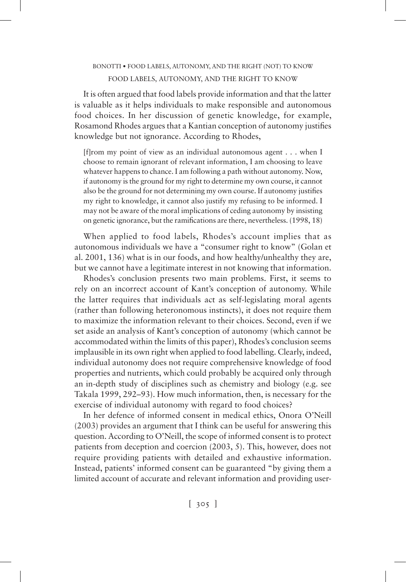# BONOTTI . FOOD LABELS, AUTONOMY, AND THE RIGHT (NOT) TO KNOW FOOD LABELS, AUTONOMY, AND THE RIGHT TO KNOW

It is often argued that food labels provide information and that the latter is valuable as it helps individuals to make responsible and autonomous food choices. In her discussion of genetic knowledge, for example, Rosamond Rhodes argues that a Kantian conception of autonomy justifies knowledge but not ignorance. According to Rhodes,

[f]rom my point of view as an individual autonomous agent . . . when I choose to remain ignorant of relevant information, I am choosing to leave whatever happens to chance. I am following a path without autonomy. Now, if autonomy is the ground for my right to determine my own course, it cannot also be the ground for not determining my own course. If autonomy justifies my right to knowledge, it cannot also justify my refusing to be informed. I may not be aware of the moral implications of ceding autonomy by insisting on genetic ignorance, but the ramifications are there, nevertheless. (1998, 18)

When applied to food labels, Rhodes's account implies that as autonomous individuals we have a "consumer right to know" (Golan et al. 2001, 136) what is in our foods, and how healthy/unhealthy they are, but we cannot have a legitimate interest in not knowing that information.

Rhodes's conclusion presents two main problems. First, it seems to rely on an incorrect account of Kant's conception of autonomy. While the latter requires that individuals act as self-legislating moral agents (rather than following heteronomous instincts), it does not require them to maximize the information relevant to their choices. Second, even if we set aside an analysis of Kant's conception of autonomy (which cannot be accommodated within the limits of this paper), Rhodes's conclusion seems implausible in its own right when applied to food labelling. Clearly, indeed, individual autonomy does not require comprehensive knowledge of food properties and nutrients, which could probably be acquired only through an in-depth study of disciplines such as chemistry and biology (e.g. see Takala 1999, 292–93). How much information, then, is necessary for the exercise of individual autonomy with regard to food choices?

In her defence of informed consent in medical ethics, Onora O'Neill (2003) provides an argument that I think can be useful for answering this question. According to O'Neill, the scope of informed consent is to protect patients from deception and coercion (2003, 5). This, however, does not require providing patients with detailed and exhaustive information. Instead, patients' informed consent can be guaranteed "by giving them a limited account of accurate and relevant information and providing user-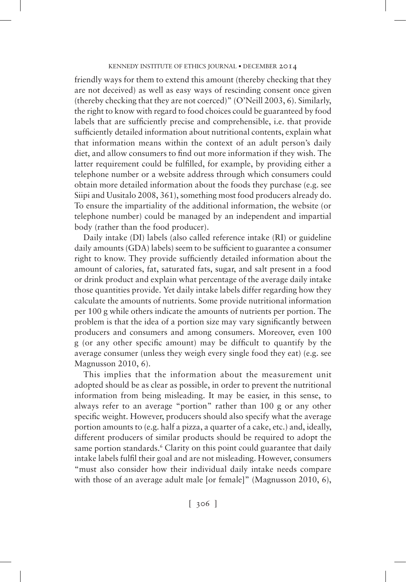friendly ways for them to extend this amount (thereby checking that they are not deceived) as well as easy ways of rescinding consent once given (thereby checking that they are not coerced)" (O'Neill 2003, 6). Similarly, the right to know with regard to food choices could be guaranteed by food labels that are sufficiently precise and comprehensible, i.e. that provide sufficiently detailed information about nutritional contents, explain what that information means within the context of an adult person's daily diet, and allow consumers to find out more information if they wish. The latter requirement could be fulfilled, for example, by providing either a telephone number or a website address through which consumers could obtain more detailed information about the foods they purchase (e.g. see Siipi and Uusitalo 2008, 361), something most food producers already do. To ensure the impartiality of the additional information, the website (or telephone number) could be managed by an independent and impartial body (rather than the food producer).

Daily intake (DI) labels (also called reference intake (RI) or guideline daily amounts (GDA) labels) seem to be sufficient to guarantee a consumer right to know. They provide sufficiently detailed information about the amount of calories, fat, saturated fats, sugar, and salt present in a food or drink product and explain what percentage of the average daily intake those quantities provide. Yet daily intake labels differ regarding how they calculate the amounts of nutrients. Some provide nutritional information per 100 g while others indicate the amounts of nutrients per portion. The problem is that the idea of a portion size may vary significantly between producers and consumers and among consumers. Moreover, even 100 g (or any other specific amount) may be difficult to quantify by the average consumer (unless they weigh every single food they eat) (e.g. see Magnusson 2010, 6).

This implies that the information about the measurement unit adopted should be as clear as possible, in order to prevent the nutritional information from being misleading. It may be easier, in this sense, to always refer to an average "portion" rather than 100 g or any other specific weight. However, producers should also specify what the average portion amounts to (e.g. half a pizza, a quarter of a cake, etc.) and, ideally, different producers of similar products should be required to adopt the same portion standards.<sup>6</sup> Clarity on this point could guarantee that daily intake labels fulfil their goal and are not misleading. However, consumers "must also consider how their individual daily intake needs compare with those of an average adult male [or female]" (Magnusson 2010, 6),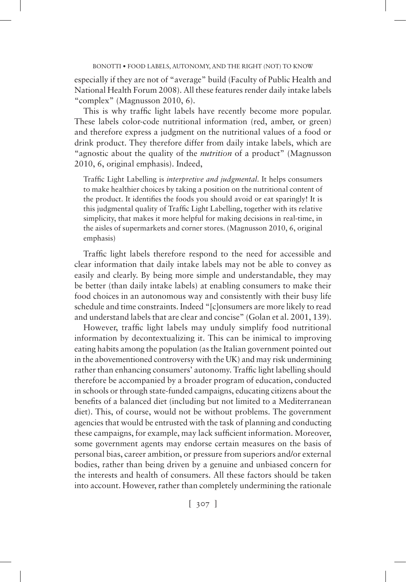especially if they are not of "average" build (Faculty of Public Health and National Health Forum 2008). All these features render daily intake labels "complex" (Magnusson 2010, 6).

This is why traffic light labels have recently become more popular. These labels color-code nutritional information (red, amber, or green) and therefore express a judgment on the nutritional values of a food or drink product. They therefore differ from daily intake labels, which are "agnostic about the quality of the *nutrition* of a product" (Magnusson 2010, 6, original emphasis). Indeed,

Traffic Light Labelling is *interpretive and judgmental*. It helps consumers to make healthier choices by taking a position on the nutritional content of the product. It identifies the foods you should avoid or eat sparingly! It is this judgmental quality of Traffic Light Labelling, together with its relative simplicity, that makes it more helpful for making decisions in real-time, in the aisles of supermarkets and corner stores. (Magnusson 2010, 6, original emphasis)

Traffic light labels therefore respond to the need for accessible and clear information that daily intake labels may not be able to convey as easily and clearly. By being more simple and understandable, they may be better (than daily intake labels) at enabling consumers to make their food choices in an autonomous way and consistently with their busy life schedule and time constraints. Indeed "[c]onsumers are more likely to read and understand labels that are clear and concise" (Golan et al. 2001, 139).

However, traffic light labels may unduly simplify food nutritional information by decontextualizing it. This can be inimical to improving eating habits among the population (as the Italian government pointed out in the abovementioned controversy with the UK) and may risk undermining rather than enhancing consumers' autonomy. Traffic light labelling should therefore be accompanied by a broader program of education, conducted in schools or through state-funded campaigns, educating citizens about the benefits of a balanced diet (including but not limited to a Mediterranean diet). This, of course, would not be without problems. The government agencies that would be entrusted with the task of planning and conducting these campaigns, for example, may lack sufficient information. Moreover, some government agents may endorse certain measures on the basis of personal bias, career ambition, or pressure from superiors and/or external bodies, rather than being driven by a genuine and unbiased concern for the interests and health of consumers. All these factors should be taken into account. However, rather than completely undermining the rationale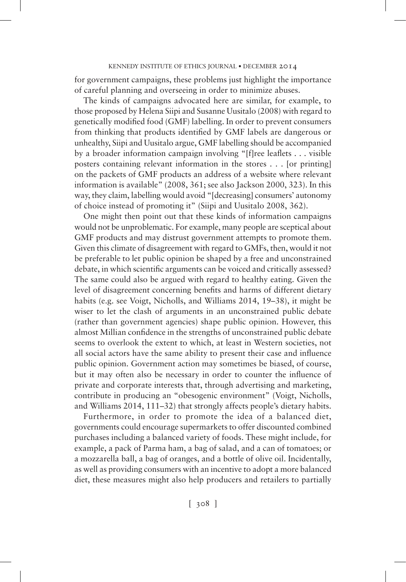for government campaigns, these problems just highlight the importance of careful planning and overseeing in order to minimize abuses.

The kinds of campaigns advocated here are similar, for example, to those proposed by Helena Siipi and Susanne Uusitalo (2008) with regard to genetically modified food (GMF) labelling. In order to prevent consumers from thinking that products identified by GMF labels are dangerous or unhealthy, Siipi and Uusitalo argue, GMF labelling should be accompanied by a broader information campaign involving "[f]ree leaflets . . . visible posters containing relevant information in the stores . . . [or printing] on the packets of GMF products an address of a website where relevant information is available" (2008, 361; see also Jackson 2000, 323). In this way, they claim, labelling would avoid "[decreasing] consumers' autonomy of choice instead of promoting it" (Siipi and Uusitalo 2008, 362).

One might then point out that these kinds of information campaigns would not be unproblematic. For example, many people are sceptical about GMF products and may distrust government attempts to promote them. Given this climate of disagreement with regard to GMFs, then, would it not be preferable to let public opinion be shaped by a free and unconstrained debate, in which scientific arguments can be voiced and critically assessed? The same could also be argued with regard to healthy eating. Given the level of disagreement concerning benefits and harms of different dietary habits (e.g. see Voigt, Nicholls, and Williams 2014, 19–38), it might be wiser to let the clash of arguments in an unconstrained public debate (rather than government agencies) shape public opinion. However, this almost Millian confidence in the strengths of unconstrained public debate seems to overlook the extent to which, at least in Western societies, not all social actors have the same ability to present their case and influence public opinion. Government action may sometimes be biased, of course, but it may often also be necessary in order to counter the influence of private and corporate interests that, through advertising and marketing, contribute in producing an "obesogenic environment" (Voigt, Nicholls, and Williams 2014, 111–32) that strongly affects people's dietary habits.

Furthermore, in order to promote the idea of a balanced diet, governments could encourage supermarkets to offer discounted combined purchases including a balanced variety of foods. These might include, for example, a pack of Parma ham, a bag of salad, and a can of tomatoes; or a mozzarella ball, a bag of oranges, and a bottle of olive oil. Incidentally, as well as providing consumers with an incentive to adopt a more balanced diet, these measures might also help producers and retailers to partially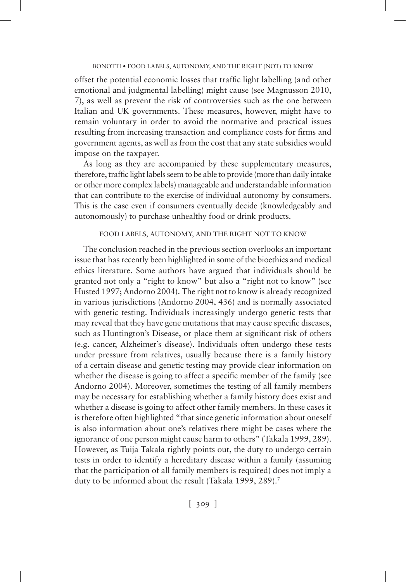offset the potential economic losses that traffic light labelling (and other emotional and judgmental labelling) might cause (see Magnusson 2010, 7), as well as prevent the risk of controversies such as the one between Italian and UK governments. These measures, however, might have to remain voluntary in order to avoid the normative and practical issues resulting from increasing transaction and compliance costs for firms and government agents, as well as from the cost that any state subsidies would impose on the taxpayer.

As long as they are accompanied by these supplementary measures, therefore, traffic light labels seem to be able to provide (more than daily intake or other more complex labels) manageable and understandable information that can contribute to the exercise of individual autonomy by consumers. This is the case even if consumers eventually decide (knowledgeably and autonomously) to purchase unhealthy food or drink products.

# FOOD LABELS, AUTONOMY, AND THE RIGHT NOT TO KNOW

The conclusion reached in the previous section overlooks an important issue that has recently been highlighted in some of the bioethics and medical ethics literature. Some authors have argued that individuals should be granted not only a "right to know" but also a "right not to know" (see Husted 1997; Andorno 2004). The right not to know is already recognized in various jurisdictions (Andorno 2004, 436) and is normally associated with genetic testing. Individuals increasingly undergo genetic tests that may reveal that they have gene mutations that may cause specific diseases, such as Huntington's Disease, or place them at significant risk of others (e.g. cancer, Alzheimer's disease). Individuals often undergo these tests under pressure from relatives, usually because there is a family history of a certain disease and genetic testing may provide clear information on whether the disease is going to affect a specific member of the family (see Andorno 2004). Moreover, sometimes the testing of all family members may be necessary for establishing whether a family history does exist and whether a disease is going to affect other family members. In these cases it is therefore often highlighted "that since genetic information about oneself is also information about one's relatives there might be cases where the ignorance of one person might cause harm to others" (Takala 1999, 289). However, as Tuija Takala rightly points out, the duty to undergo certain tests in order to identify a hereditary disease within a family (assuming that the participation of all family members is required) does not imply a duty to be informed about the result (Takala 1999, 289).<sup>7</sup>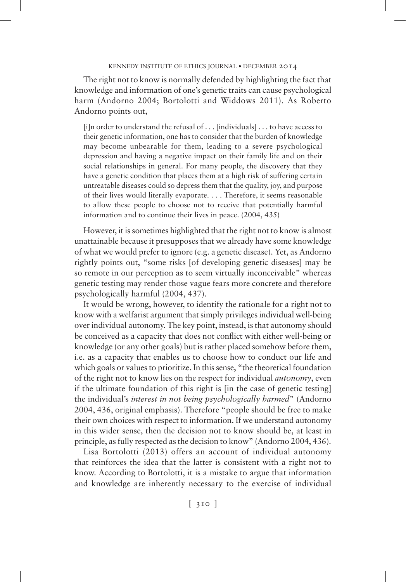The right not to know is normally defended by highlighting the fact that knowledge and information of one's genetic traits can cause psychological harm (Andorno 2004; Bortolotti and Widdows 2011). As Roberto Andorno points out,

[i]n order to understand the refusal of . . . [individuals] . . . to have access to their genetic information, one has to consider that the burden of knowledge may become unbearable for them, leading to a severe psychological depression and having a negative impact on their family life and on their social relationships in general. For many people, the discovery that they have a genetic condition that places them at a high risk of suffering certain untreatable diseases could so depress them that the quality, joy, and purpose of their lives would literally evaporate. . . . Therefore, it seems reasonable to allow these people to choose not to receive that potentially harmful information and to continue their lives in peace. (2004, 435)

However, it is sometimes highlighted that the right not to know is almost unattainable because it presupposes that we already have some knowledge of what we would prefer to ignore (e.g. a genetic disease). Yet, as Andorno rightly points out, "some risks [of developing genetic diseases] may be so remote in our perception as to seem virtually inconceivable" whereas genetic testing may render those vague fears more concrete and therefore psychologically harmful (2004, 437).

It would be wrong, however, to identify the rationale for a right not to know with a welfarist argument that simply privileges individual well-being over individual autonomy. The key point, instead, is that autonomy should be conceived as a capacity that does not conflict with either well-being or knowledge (or any other goals) but is rather placed somehow before them, i.e. as a capacity that enables us to choose how to conduct our life and which goals or values to prioritize. In this sense, "the theoretical foundation of the right not to know lies on the respect for individual *autonomy*, even if the ultimate foundation of this right is [in the case of genetic testing] the individual's *interest in not being psychologically harmed*" (Andorno 2004, 436, original emphasis). Therefore "people should be free to make their own choices with respect to information. If we understand autonomy in this wider sense, then the decision not to know should be, at least in principle, as fully respected as the decision to know" (Andorno 2004, 436).

Lisa Bortolotti (2013) offers an account of individual autonomy that reinforces the idea that the latter is consistent with a right not to know. According to Bortolotti, it is a mistake to argue that information and knowledge are inherently necessary to the exercise of individual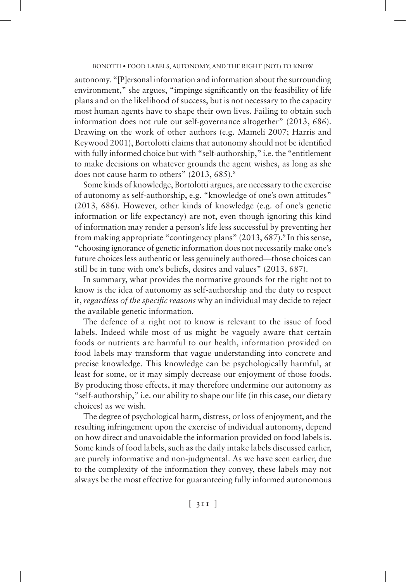autonomy. "[P]ersonal information and information about the surrounding environment," she argues, "impinge significantly on the feasibility of life plans and on the likelihood of success, but is not necessary to the capacity most human agents have to shape their own lives. Failing to obtain such information does not rule out self-governance altogether" (2013, 686). Drawing on the work of other authors (e.g. Mameli 2007; Harris and Keywood 2001), Bortolotti claims that autonomy should not be identified with fully informed choice but with "self-authorship," i.e. the "entitlement to make decisions on whatever grounds the agent wishes, as long as she does not cause harm to others" (2013, 685).<sup>8</sup>

Some kinds of knowledge, Bortolotti argues, are necessary to the exercise of autonomy as self-authorship, e.g. "knowledge of one's own attitudes" (2013, 686). However, other kinds of knowledge (e.g. of one's genetic information or life expectancy) are not, even though ignoring this kind of information may render a person's life less successful by preventing her from making appropriate "contingency plans" (2013, 687).<sup>9</sup> In this sense, "choosing ignorance of genetic information does not necessarily make one's future choices less authentic or less genuinely authored—those choices can still be in tune with one's beliefs, desires and values" (2013, 687).

In summary, what provides the normative grounds for the right not to know is the idea of autonomy as self-authorship and the duty to respect it, *regardless of the specific reasons* why an individual may decide to reject the available genetic information.

The defence of a right not to know is relevant to the issue of food labels. Indeed while most of us might be vaguely aware that certain foods or nutrients are harmful to our health, information provided on food labels may transform that vague understanding into concrete and precise knowledge. This knowledge can be psychologically harmful, at least for some, or it may simply decrease our enjoyment of those foods. By producing those effects, it may therefore undermine our autonomy as "self-authorship," i.e. our ability to shape our life (in this case, our dietary choices) as we wish.

The degree of psychological harm, distress, or loss of enjoyment, and the resulting infringement upon the exercise of individual autonomy, depend on how direct and unavoidable the information provided on food labels is. Some kinds of food labels, such as the daily intake labels discussed earlier, are purely informative and non-judgmental. As we have seen earlier, due to the complexity of the information they convey, these labels may not always be the most effective for guaranteeing fully informed autonomous

 $\begin{bmatrix} 311 \end{bmatrix}$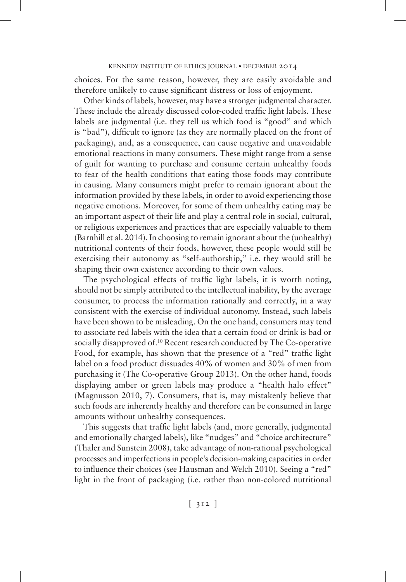choices. For the same reason, however, they are easily avoidable and therefore unlikely to cause significant distress or loss of enjoyment.

Other kinds of labels, however, may have a stronger judgmental character. These include the already discussed color-coded traffic light labels. These labels are judgmental (i.e. they tell us which food is "good" and which is "bad"), difficult to ignore (as they are normally placed on the front of packaging), and, as a consequence, can cause negative and unavoidable emotional reactions in many consumers. These might range from a sense of guilt for wanting to purchase and consume certain unhealthy foods to fear of the health conditions that eating those foods may contribute in causing. Many consumers might prefer to remain ignorant about the information provided by these labels, in order to avoid experiencing those negative emotions. Moreover, for some of them unhealthy eating may be an important aspect of their life and play a central role in social, cultural, or religious experiences and practices that are especially valuable to them (Barnhill et al. 2014). In choosing to remain ignorant about the (unhealthy) nutritional contents of their foods, however, these people would still be exercising their autonomy as "self-authorship," i.e. they would still be shaping their own existence according to their own values.

The psychological effects of traffic light labels, it is worth noting, should not be simply attributed to the intellectual inability, by the average consumer, to process the information rationally and correctly, in a way consistent with the exercise of individual autonomy. Instead, such labels have been shown to be misleading. On the one hand, consumers may tend to associate red labels with the idea that a certain food or drink is bad or socially disapproved of.<sup>10</sup> Recent research conducted by The Co-operative Food, for example, has shown that the presence of a "red" traffic light label on a food product dissuades 40% of women and 30% of men from purchasing it (The Co-operative Group 2013). On the other hand, foods displaying amber or green labels may produce a "health halo effect" (Magnusson 2010, 7). Consumers, that is, may mistakenly believe that such foods are inherently healthy and therefore can be consumed in large amounts without unhealthy consequences.

This suggests that traffic light labels (and, more generally, judgmental and emotionally charged labels), like "nudges" and "choice architecture" (Thaler and Sunstein 2008), take advantage of non-rational psychological processes and imperfections in people's decision-making capacities in order to influence their choices (see Hausman and Welch 2010). Seeing a "red" light in the front of packaging (i.e. rather than non-colored nutritional

 $\begin{bmatrix} 312 \end{bmatrix}$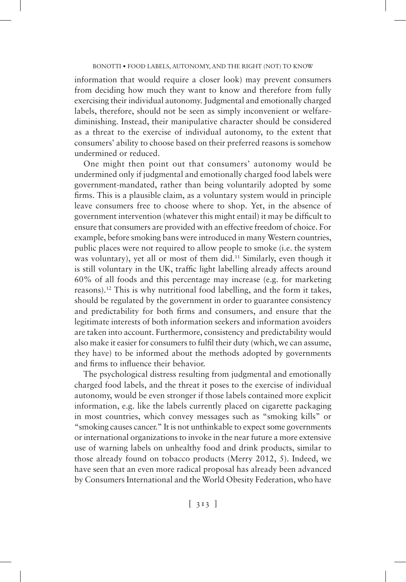information that would require a closer look) may prevent consumers from deciding how much they want to know and therefore from fully exercising their individual autonomy. Judgmental and emotionally charged labels, therefore, should not be seen as simply inconvenient or welfarediminishing. Instead, their manipulative character should be considered as a threat to the exercise of individual autonomy, to the extent that consumers' ability to choose based on their preferred reasons is somehow undermined or reduced.

One might then point out that consumers' autonomy would be undermined only if judgmental and emotionally charged food labels were government-mandated, rather than being voluntarily adopted by some firms. This is a plausible claim, as a voluntary system would in principle leave consumers free to choose where to shop. Yet, in the absence of government intervention (whatever this might entail) it may be difficult to ensure that consumers are provided with an effective freedom of choice. For example, before smoking bans were introduced in many Western countries, public places were not required to allow people to smoke (i.e. the system was voluntary), yet all or most of them did.<sup>11</sup> Similarly, even though it is still voluntary in the UK, traffic light labelling already affects around 60% of all foods and this percentage may increase (e.g. for marketing reasons).12 This is why nutritional food labelling, and the form it takes, should be regulated by the government in order to guarantee consistency and predictability for both firms and consumers, and ensure that the legitimate interests of both information seekers and information avoiders are taken into account. Furthermore, consistency and predictability would also make it easier for consumers to fulfil their duty (which, we can assume, they have) to be informed about the methods adopted by governments and firms to influence their behavior.

The psychological distress resulting from judgmental and emotionally charged food labels, and the threat it poses to the exercise of individual autonomy, would be even stronger if those labels contained more explicit information, e.g. like the labels currently placed on cigarette packaging in most countries, which convey messages such as "smoking kills" or "smoking causes cancer." It is not unthinkable to expect some governments or international organizations to invoke in the near future a more extensive use of warning labels on unhealthy food and drink products, similar to those already found on tobacco products (Merry 2012, 5). Indeed, we have seen that an even more radical proposal has already been advanced by Consumers International and the World Obesity Federation, who have

 $[313]$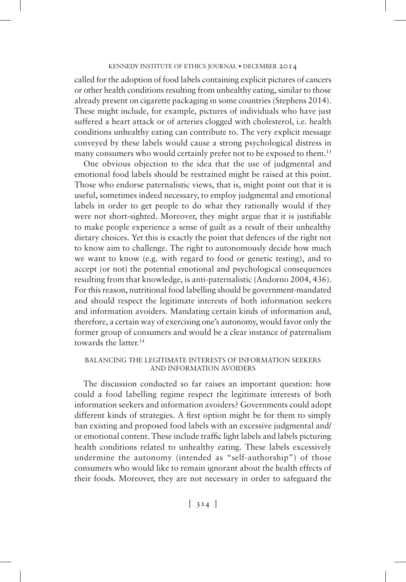called for the adoption of food labels containing explicit pictures of cancers or other health conditions resulting from unhealthy eating, similar to those already present on cigarette packaging in some countries (Stephens 2014). These might include, for example, pictures of individuals who have just suffered a heart attack or of arteries clogged with cholesterol, i.e. health conditions unhealthy eating can contribute to. The very explicit message conveyed by these labels would cause a strong psychological distress in many consumers who would certainly prefer not to be exposed to them.<sup>13</sup>

One obvious objection to the idea that the use of judgmental and emotional food labels should be restrained might be raised at this point. Those who endorse paternalistic views, that is, might point out that it is useful, sometimes indeed necessary, to employ judgmental and emotional labels in order to get people to do what they rationally would if they were not short-sighted. Moreover, they might argue that it is justifiable to make people experience a sense of guilt as a result of their unhealthy dietary choices. Yet this is exactly the point that defences of the right not to know aim to challenge. The right to autonomously decide how much we want to know (e.g. with regard to food or genetic testing), and to accept (or not) the potential emotional and psychological consequences resulting from that knowledge, is anti-paternalistic (Andorno 2004, 436). For this reason, nutritional food labelling should be government-mandated and should respect the legitimate interests of both information seekers and information avoiders. Mandating certain kinds of information and, therefore, a certain way of exercising one's autonomy, would favor only the former group of consumers and would be a clear instance of paternalism towards the latter.<sup>14</sup>

#### BALANCING THE LEGITIMATE INTERESTS OF INFORMATION SEEKERS AND INFORMATION AVOIDERS

The discussion conducted so far raises an important question: how could a food labelling regime respect the legitimate interests of both information seekers and information avoiders? Governments could adopt different kinds of strategies. A first option might be for them to simply ban existing and proposed food labels with an excessive judgmental and/ or emotional content. These include traffic light labels and labels picturing health conditions related to unhealthy eating. These labels excessively undermine the autonomy (intended as "self-authorship") of those consumers who would like to remain ignorant about the health effects of their foods. Moreover, they are not necessary in order to safeguard the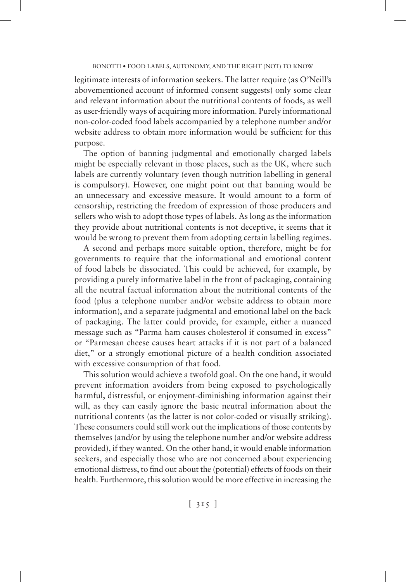legitimate interests of information seekers. The latter require (as O'Neill's abovementioned account of informed consent suggests) only some clear and relevant information about the nutritional contents of foods, as well as user-friendly ways of acquiring more information. Purely informational non-color-coded food labels accompanied by a telephone number and/or website address to obtain more information would be sufficient for this purpose.

The option of banning judgmental and emotionally charged labels might be especially relevant in those places, such as the UK, where such labels are currently voluntary (even though nutrition labelling in general is compulsory). However, one might point out that banning would be an unnecessary and excessive measure. It would amount to a form of censorship, restricting the freedom of expression of those producers and sellers who wish to adopt those types of labels. As long as the information they provide about nutritional contents is not deceptive, it seems that it would be wrong to prevent them from adopting certain labelling regimes.

A second and perhaps more suitable option, therefore, might be for governments to require that the informational and emotional content of food labels be dissociated. This could be achieved, for example, by providing a purely informative label in the front of packaging, containing all the neutral factual information about the nutritional contents of the food (plus a telephone number and/or website address to obtain more information), and a separate judgmental and emotional label on the back of packaging. The latter could provide, for example, either a nuanced message such as "Parma ham causes cholesterol if consumed in excess" or "Parmesan cheese causes heart attacks if it is not part of a balanced diet," or a strongly emotional picture of a health condition associated with excessive consumption of that food.

This solution would achieve a twofold goal. On the one hand, it would prevent information avoiders from being exposed to psychologically harmful, distressful, or enjoyment-diminishing information against their will, as they can easily ignore the basic neutral information about the nutritional contents (as the latter is not color-coded or visually striking). These consumers could still work out the implications of those contents by themselves (and/or by using the telephone number and/or website address provided), if they wanted. On the other hand, it would enable information seekers, and especially those who are not concerned about experiencing emotional distress, to find out about the (potential) effects of foods on their health. Furthermore, this solution would be more effective in increasing the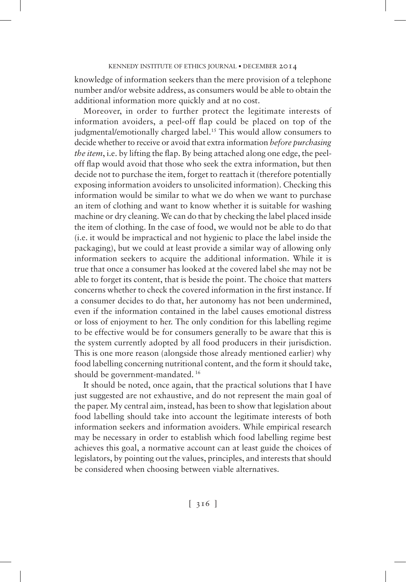knowledge of information seekers than the mere provision of a telephone number and/or website address, as consumers would be able to obtain the additional information more quickly and at no cost.

Moreover, in order to further protect the legitimate interests of information avoiders, a peel-off flap could be placed on top of the judgmental/emotionally charged label.<sup>15</sup> This would allow consumers to decide whether to receive or avoid that extra information *before purchasing the item*, i.e. by lifting the flap. By being attached along one edge, the peeloff flap would avoid that those who seek the extra information, but then decide not to purchase the item, forget to reattach it (therefore potentially exposing information avoiders to unsolicited information). Checking this information would be similar to what we do when we want to purchase an item of clothing and want to know whether it is suitable for washing machine or dry cleaning. We can do that by checking the label placed inside the item of clothing. In the case of food, we would not be able to do that (i.e. it would be impractical and not hygienic to place the label inside the packaging), but we could at least provide a similar way of allowing only information seekers to acquire the additional information. While it is true that once a consumer has looked at the covered label she may not be able to forget its content, that is beside the point. The choice that matters concerns whether to check the covered information in the first instance. If a consumer decides to do that, her autonomy has not been undermined, even if the information contained in the label causes emotional distress or loss of enjoyment to her. The only condition for this labelling regime to be effective would be for consumers generally to be aware that this is the system currently adopted by all food producers in their jurisdiction. This is one more reason (alongside those already mentioned earlier) why food labelling concerning nutritional content, and the form it should take, should be government-mandated. 16

It should be noted, once again, that the practical solutions that I have just suggested are not exhaustive, and do not represent the main goal of the paper. My central aim, instead, has been to show that legislation about food labelling should take into account the legitimate interests of both information seekers and information avoiders. While empirical research may be necessary in order to establish which food labelling regime best achieves this goal, a normative account can at least guide the choices of legislators, by pointing out the values, principles, and interests that should be considered when choosing between viable alternatives.

# [ 316 ]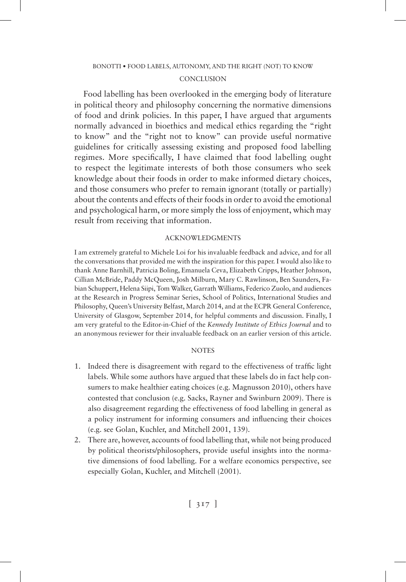Food labelling has been overlooked in the emerging body of literature in political theory and philosophy concerning the normative dimensions of food and drink policies. In this paper, I have argued that arguments normally advanced in bioethics and medical ethics regarding the "right to know" and the "right not to know" can provide useful normative guidelines for critically assessing existing and proposed food labelling regimes. More specifically, I have claimed that food labelling ought to respect the legitimate interests of both those consumers who seek knowledge about their foods in order to make informed dietary choices, and those consumers who prefer to remain ignorant (totally or partially) about the contents and effects of their foods in order to avoid the emotional and psychological harm, or more simply the loss of enjoyment, which may result from receiving that information.

#### ACKNOWLEDGMENTS

I am extremely grateful to Michele Loi for his invaluable feedback and advice, and for all the conversations that provided me with the inspiration for this paper. I would also like to thank Anne Barnhill, Patricia Boling, Emanuela Ceva, Elizabeth Cripps, Heather Johnson, Cillian McBride, Paddy McQueen, Josh Milburn, Mary C. Rawlinson, Ben Saunders, Fabian Schuppert, Helena Siipi, Tom Walker, Garrath Williams, Federico Zuolo, and audiences at the Research in Progress Seminar Series, School of Politics, International Studies and Philosophy, Queen's University Belfast, March 2014, and at the ECPR General Conference, University of Glasgow, September 2014, for helpful comments and discussion. Finally, I am very grateful to the Editor-in-Chief of the *Kennedy Institute of Ethics Journal* and to an anonymous reviewer for their invaluable feedback on an earlier version of this article.

#### **NOTES**

- 1. Indeed there is disagreement with regard to the effectiveness of traffic light labels. While some authors have argued that these labels do in fact help consumers to make healthier eating choices (e.g. Magnusson 2010), others have contested that conclusion (e.g. Sacks, Rayner and Swinburn 2009). There is also disagreement regarding the effectiveness of food labelling in general as a policy instrument for informing consumers and influencing their choices (e.g. see Golan, Kuchler, and Mitchell 2001, 139).
- 2. There are, however, accounts of food labelling that, while not being produced by political theorists/philosophers, provide useful insights into the normative dimensions of food labelling. For a welfare economics perspective, see especially Golan, Kuchler, and Mitchell (2001).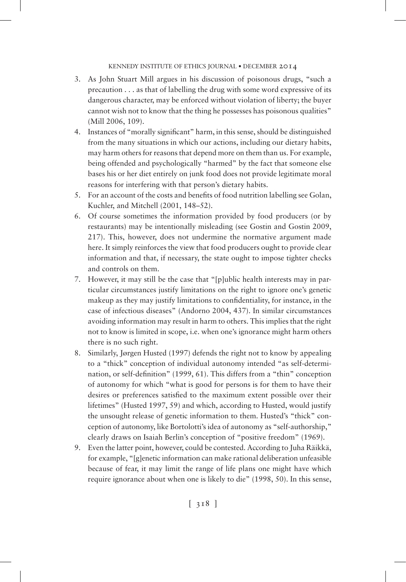- 3. As John Stuart Mill argues in his discussion of poisonous drugs, "such a precaution . . . as that of labelling the drug with some word expressive of its dangerous character, may be enforced without violation of liberty; the buyer cannot wish not to know that the thing he possesses has poisonous qualities" (Mill 2006, 109).
- 4. Instances of "morally significant" harm, in this sense, should be distinguished from the many situations in which our actions, including our dietary habits, may harm others for reasons that depend more on them than us. For example, being offended and psychologically "harmed" by the fact that someone else bases his or her diet entirely on junk food does not provide legitimate moral reasons for interfering with that person's dietary habits.
- 5. For an account of the costs and benefits of food nutrition labelling see Golan, Kuchler, and Mitchell (2001, 148–52).
- 6. Of course sometimes the information provided by food producers (or by restaurants) may be intentionally misleading (see Gostin and Gostin 2009, 217). This, however, does not undermine the normative argument made here. It simply reinforces the view that food producers ought to provide clear information and that, if necessary, the state ought to impose tighter checks and controls on them.
- 7. However, it may still be the case that "[p]ublic health interests may in particular circumstances justify limitations on the right to ignore one's genetic makeup as they may justify limitations to confidentiality, for instance, in the case of infectious diseases" (Andorno 2004, 437). In similar circumstances avoiding information may result in harm to others. This implies that the right not to know is limited in scope, i.e. when one's ignorance might harm others there is no such right.
- 8. Similarly, Jørgen Husted (1997) defends the right not to know by appealing to a "thick" conception of individual autonomy intended "as self-determination, or self-definition" (1999, 61). This differs from a "thin" conception of autonomy for which "what is good for persons is for them to have their desires or preferences satisfied to the maximum extent possible over their lifetimes" (Husted 1997, 59) and which, according to Husted, would justify the unsought release of genetic information to them. Husted's "thick" conception of autonomy, like Bortolotti's idea of autonomy as "self-authorship," clearly draws on Isaiah Berlin's conception of "positive freedom" (1969).
- 9. Even the latter point, however, could be contested. According to Juha Räikkä, for example, "[g]enetic information can make rational deliberation unfeasible because of fear, it may limit the range of life plans one might have which require ignorance about when one is likely to die" (1998, 50). In this sense,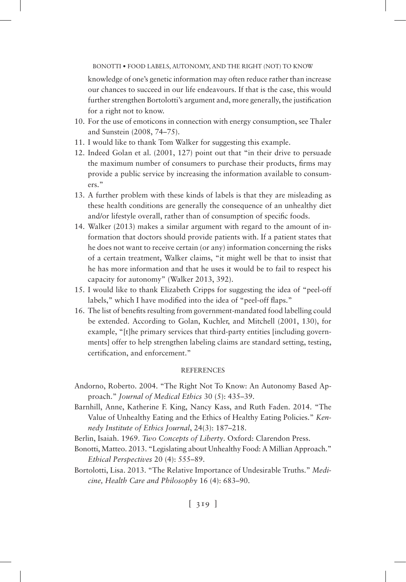knowledge of one's genetic information may often reduce rather than increase our chances to succeed in our life endeavours. If that is the case, this would further strengthen Bortolotti's argument and, more generally, the justification for a right not to know.

- 10. For the use of emoticons in connection with energy consumption, see Thaler and Sunstein (2008, 74–75).
- 11. I would like to thank Tom Walker for suggesting this example.
- 12. Indeed Golan et al. (2001, 127) point out that "in their drive to persuade the maximum number of consumers to purchase their products, firms may provide a public service by increasing the information available to consumers."
- 13. A further problem with these kinds of labels is that they are misleading as these health conditions are generally the consequence of an unhealthy diet and/or lifestyle overall, rather than of consumption of specific foods.
- 14. Walker (2013) makes a similar argument with regard to the amount of information that doctors should provide patients with. If a patient states that he does not want to receive certain (or any) information concerning the risks of a certain treatment, Walker claims, "it might well be that to insist that he has more information and that he uses it would be to fail to respect his capacity for autonomy" (Walker 2013, 392).
- 15. I would like to thank Elizabeth Cripps for suggesting the idea of "peel-off labels," which I have modified into the idea of "peel-off flaps."
- 16. The list of benefits resulting from government-mandated food labelling could be extended. According to Golan, Kuchler, and Mitchell (2001, 130), for example, "[t]he primary services that third-party entities [including governments] offer to help strengthen labeling claims are standard setting, testing, certification, and enforcement."

#### REFERENCES

- Andorno, Roberto. 2004. "The Right Not To Know: An Autonomy Based Approach." *Journal of Medical Ethics* 30 (5): 435–39.
- Barnhill, Anne, Katherine F. King, Nancy Kass, and Ruth Faden. 2014. "The Value of Unhealthy Eating and the Ethics of Healthy Eating Policies." *Kennedy Institute of Ethics Journal*, 24(3): 187–218.
- Berlin, Isaiah. 1969. *Two Concepts of Liberty*. Oxford: Clarendon Press.
- Bonotti, Matteo. 2013. "Legislating about Unhealthy Food: A Millian Approach." *Ethical Perspectives* 20 (4): 555–89.
- Bortolotti, Lisa. 2013. "The Relative Importance of Undesirable Truths." *Medicine, Health Care and Philosophy* 16 (4): 683–90.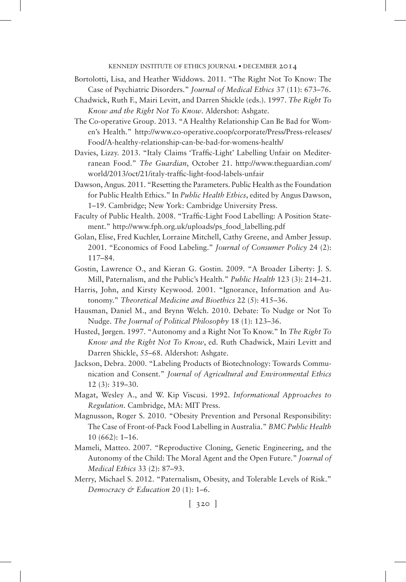- Bortolotti, Lisa, and Heather Widdows. 2011. "The Right Not To Know: The Case of Psychiatric Disorders." *Journal of Medical Ethics* 37 (11): 673–76.
- Chadwick, Ruth F., Mairi Levitt, and Darren Shickle (eds.). 1997. *The Right To Know and the Right Not To Know*. Aldershot: Ashgate.
- The Co-operative Group. 2013. "A Healthy Relationship Can Be Bad for Women's Health." http://www.co-operative.coop/corporate/Press/Press-releases/ Food/A-healthy-relationship-can-be-bad-for-womens-health/
- Davies, Lizzy. 2013. "Italy Claims 'Traffic-Light' Labelling Unfair on Mediterranean Food." *The Guardian*, October 21. http://www.theguardian.com/ world/2013/oct/21/italy-traffic-light-food-labels-unfair
- Dawson, Angus. 2011. "Resetting the Parameters. Public Health as the Foundation for Public Health Ethics." In *Public Health Ethics*, edited by Angus Dawson, 1–19. Cambridge; New York: Cambridge University Press.
- Faculty of Public Health. 2008. "Traffic-Light Food Labelling: A Position Statement." http://www.fph.org.uk/uploads/ps\_food\_labelling.pdf
- Golan, Elise, Fred Kuchler, Lorraine Mitchell, Cathy Greene, and Amber Jessup. 2001. "Economics of Food Labeling." *Journal of Consumer Policy* 24 (2): 117–84.
- Gostin, Lawrence O., and Kieran G. Gostin. 2009. "A Broader Liberty: J. S. Mill, Paternalism, and the Public's Health." *Public Health* 123 (3): 214–21.
- Harris, John, and Kirsty Keywood. 2001. "Ignorance, Information and Autonomy." *Theoretical Medicine and Bioethics* 22 (5): 415–36.
- Hausman, Daniel M., and Brynn Welch. 2010. Debate: To Nudge or Not To Nudge. *The Journal of Political Philosophy* 18 (1): 123–36.
- Husted, Jørgen. 1997. "Autonomy and a Right Not To Know." In *The Right To Know and the Right Not To Know*, ed. Ruth Chadwick, Mairi Levitt and Darren Shickle, 55–68. Aldershot: Ashgate.
- Jackson, Debra. 2000. "Labeling Products of Biotechnology: Towards Communication and Consent." *Journal of Agricultural and Environmental Ethics* 12 (3): 319–30.
- Magat, Wesley A., and W. Kip Viscusi. 1992. *Informational Approaches to Regulation*. Cambridge, MA: MIT Press.
- Magnusson, Roger S. 2010. "Obesity Prevention and Personal Responsibility: The Case of Front-of-Pack Food Labelling in Australia." *BMC Public Health* 10 (662): 1–16.
- Mameli, Matteo. 2007. "Reproductive Cloning, Genetic Engineering, and the Autonomy of the Child: The Moral Agent and the Open Future." *Journal of Medical Ethics* 33 (2): 87–93.
- Merry, Michael S. 2012. "Paternalism, Obesity, and Tolerable Levels of Risk." *Democracy & Education* 20 (1): 1–6.